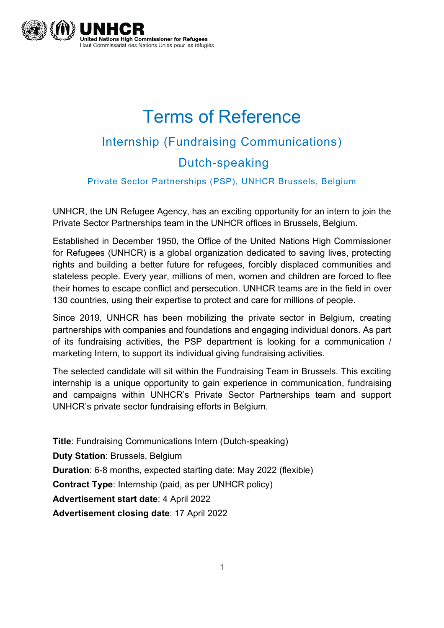

# Terms of Reference Internship (Fundraising Communications) Dutch-speaking

#### Private Sector Partnerships (PSP), UNHCR Brussels, Belgium

UNHCR, the UN Refugee Agency, has an exciting opportunity for an intern to join the Private Sector Partnerships team in the UNHCR offices in Brussels, Belgium.

Established in December 1950, the Office of the United Nations High Commissioner for Refugees (UNHCR) is a global organization dedicated to saving lives, protecting rights and building a better future for refugees, forcibly displaced communities and stateless people. Every year, millions of men, women and children are forced to flee their homes to escape conflict and persecution. UNHCR teams are in the field in over 130 countries, using their expertise to protect and care for millions of people.

Since 2019, UNHCR has been mobilizing the private sector in Belgium, creating partnerships with companies and foundations and engaging individual donors. As part of its fundraising activities, the PSP department is looking for a communication / marketing Intern, to support its individual giving fundraising activities.

The selected candidate will sit within the Fundraising Team in Brussels. This exciting internship is a unique opportunity to gain experience in communication, fundraising and campaigns within UNHCR's Private Sector Partnerships team and support UNHCR's private sector fundraising efforts in Belgium.

**Title**: Fundraising Communications Intern (Dutch-speaking) **Duty Station**: Brussels, Belgium **Duration**: 6-8 months, expected starting date: May 2022 (flexible) **Contract Type**: Internship (paid, as per UNHCR policy) **Advertisement start date**: 4 April 2022 **Advertisement closing date**: 17 April 2022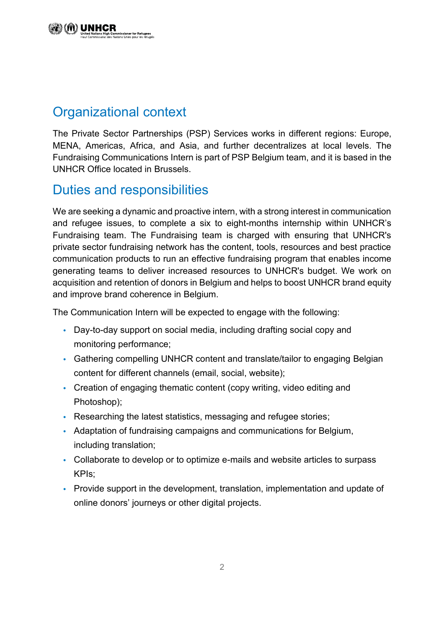## Organizational context

The Private Sector Partnerships (PSP) Services works in different regions: Europe, MENA, Americas, Africa, and Asia, and further decentralizes at local levels. The Fundraising Communications Intern is part of PSP Belgium team, and it is based in the UNHCR Office located in Brussels.

#### Duties and responsibilities

We are seeking a dynamic and proactive intern, with a strong interest in communication and refugee issues, to complete a six to eight-months internship within UNHCR's Fundraising team. The Fundraising team is charged with ensuring that UNHCR's private sector fundraising network has the content, tools, resources and best practice communication products to run an effective fundraising program that enables income generating teams to deliver increased resources to UNHCR's budget. We work on acquisition and retention of donors in Belgium and helps to boost UNHCR brand equity and improve brand coherence in Belgium.

The Communication Intern will be expected to engage with the following:

- **•** Day-to-day support on social media, including drafting social copy and monitoring performance;
- **•** Gathering compelling UNHCR content and translate/tailor to engaging Belgian content for different channels (email, social, website);
- **•** Creation of engaging thematic content (copy writing, video editing and Photoshop);
- **•** Researching the latest statistics, messaging and refugee stories;
- **•** Adaptation of fundraising campaigns and communications for Belgium, including translation;
- **•** Collaborate to develop or to optimize e-mails and website articles to surpass KPIs;
- **•** Provide support in the development, translation, implementation and update of online donors' journeys or other digital projects.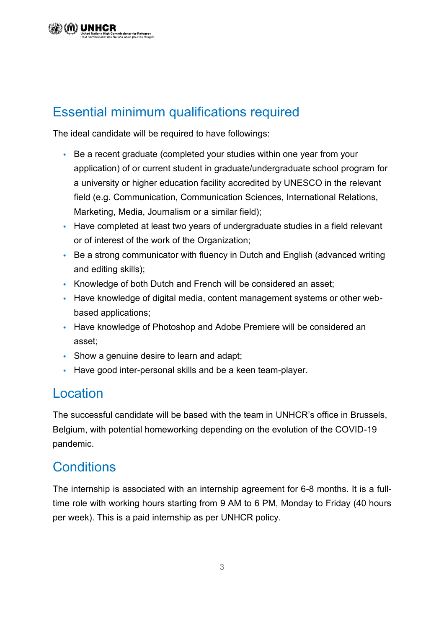# Essential minimum qualifications required

The ideal candidate will be required to have followings:

- **•** Be a recent graduate (completed your studies within one year from your application) of or current student in graduate/undergraduate school program for a university or higher education facility accredited by UNESCO in the relevant field (e.g. Communication, Communication Sciences, International Relations, Marketing, Media, Journalism or a similar field);
- **•** Have completed at least two years of undergraduate studies in a field relevant or of interest of the work of the Organization;
- **•** Be a strong communicator with fluency in Dutch and English (advanced writing and editing skills);
- **•** Knowledge of both Dutch and French will be considered an asset;
- **•** Have knowledge of digital media, content management systems or other webbased applications;
- **•** Have knowledge of Photoshop and Adobe Premiere will be considered an asset;
- **•** Show a genuine desire to learn and adapt;
- **•** Have good inter-personal skills and be a keen team-player.

#### Location

The successful candidate will be based with the team in UNHCR's office in Brussels, Belgium, with potential homeworking depending on the evolution of the COVID-19 pandemic.

## **Conditions**

The internship is associated with an internship agreement for 6-8 months. It is a fulltime role with working hours starting from 9 AM to 6 PM, Monday to Friday (40 hours per week). This is a paid internship as per UNHCR policy.